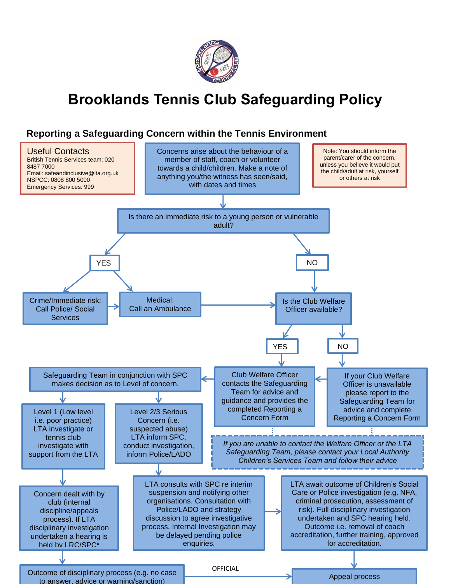

# **Brooklands Tennis Club Safeguarding Policy**

### **Reporting a Safeguarding Concern within the Tennis Environment**

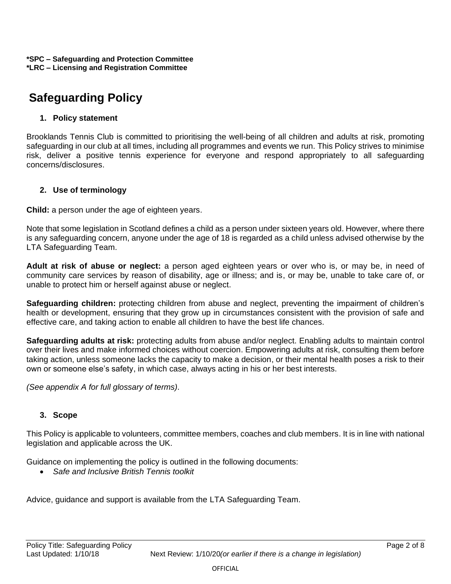## **Safeguarding Policy**

### **1. Policy statement**

Brooklands Tennis Club is committed to prioritising the well-being of all children and adults at risk, promoting safeguarding in our club at all times, including all programmes and events we run. This Policy strives to minimise risk, deliver a positive tennis experience for everyone and respond appropriately to all safeguarding concerns/disclosures.

### **2. Use of terminology**

**Child:** a person under the age of eighteen years.

Note that some legislation in Scotland defines a child as a person under sixteen years old. However, where there is any safeguarding concern, anyone under the age of 18 is regarded as a child unless advised otherwise by the LTA Safeguarding Team.

**Adult at risk of abuse or neglect:** a person aged eighteen years or over who is, or may be, in need of community care services by reason of disability, age or illness; and is, or may be, unable to take care of, or unable to protect him or herself against abuse or neglect.

**Safeguarding children:** protecting children from abuse and neglect, preventing the impairment of children's health or development, ensuring that they grow up in circumstances consistent with the provision of safe and effective care, and taking action to enable all children to have the best life chances.

**Safeguarding adults at risk:** protecting adults from abuse and/or neglect. Enabling adults to maintain control over their lives and make informed choices without coercion. Empowering adults at risk, consulting them before taking action, unless someone lacks the capacity to make a decision, or their mental health poses a risk to their own or someone else's safety, in which case, always acting in his or her best interests.

*(See appendix A for full glossary of terms)*.

### **3. Scope**

This Policy is applicable to volunteers, committee members, coaches and club members. It is in line with national legislation and applicable across the UK.

Guidance on implementing the policy is outlined in the following documents:

• *Safe and Inclusive British Tennis toolkit*

Advice, guidance and support is available from the LTA Safeguarding Team.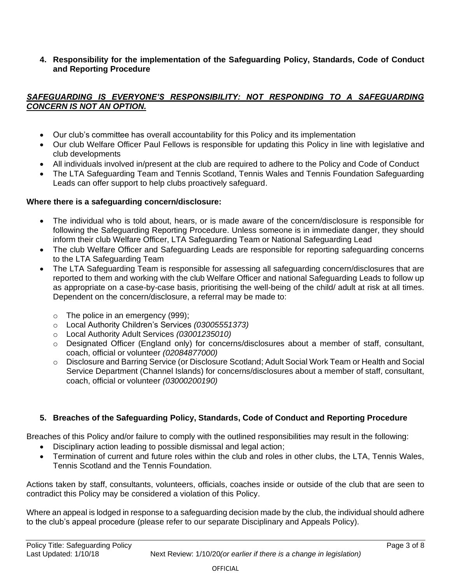**4. Responsibility for the implementation of the Safeguarding Policy, Standards, Code of Conduct and Reporting Procedure**

### *SAFEGUARDING IS EVERYONE'S RESPONSIBILITY: NOT RESPONDING TO A SAFEGUARDING CONCERN IS NOT AN OPTION.*

- Our club's committee has overall accountability for this Policy and its implementation
- Our club Welfare Officer Paul Fellows is responsible for updating this Policy in line with legislative and club developments
- All individuals involved in/present at the club are required to adhere to the Policy and Code of Conduct
- The LTA Safeguarding Team and Tennis Scotland, Tennis Wales and Tennis Foundation Safeguarding Leads can offer support to help clubs proactively safeguard.

### **Where there is a safeguarding concern/disclosure:**

- The individual who is told about, hears, or is made aware of the concern/disclosure is responsible for following the Safeguarding Reporting Procedure. Unless someone is in immediate danger, they should inform their club Welfare Officer, LTA Safeguarding Team or National Safeguarding Lead
- The club Welfare Officer and Safeguarding Leads are responsible for reporting safeguarding concerns to the LTA Safeguarding Team
- The LTA Safeguarding Team is responsible for assessing all safeguarding concern/disclosures that are reported to them and working with the club Welfare Officer and national Safeguarding Leads to follow up as appropriate on a case-by-case basis, prioritising the well-being of the child/ adult at risk at all times. Dependent on the concern/disclosure, a referral may be made to:
	- $\circ$  The police in an emergency (999);
	- o Local Authority Children's Services *(03005551373)*
	- o Local Authority Adult Services *(03001235010)*
	- $\circ$  Designated Officer (England only) for concerns/disclosures about a member of staff, consultant, coach, official or volunteer *(02084877000)*
	- o Disclosure and Barring Service (or Disclosure Scotland; Adult Social Work Team or Health and Social Service Department (Channel Islands) for concerns/disclosures about a member of staff, consultant, coach, official or volunteer *(03000200190)*

### **5. Breaches of the Safeguarding Policy, Standards, Code of Conduct and Reporting Procedure**

Breaches of this Policy and/or failure to comply with the outlined responsibilities may result in the following:

- Disciplinary action leading to possible dismissal and legal action;
- Termination of current and future roles within the club and roles in other clubs, the LTA, Tennis Wales, Tennis Scotland and the Tennis Foundation*.*

Actions taken by staff, consultants, volunteers, officials, coaches inside or outside of the club that are seen to contradict this Policy may be considered a violation of this Policy.

Where an appeal is lodged in response to a safeguarding decision made by the club, the individual should adhere to the club's appeal procedure (please refer to our separate Disciplinary and Appeals Policy).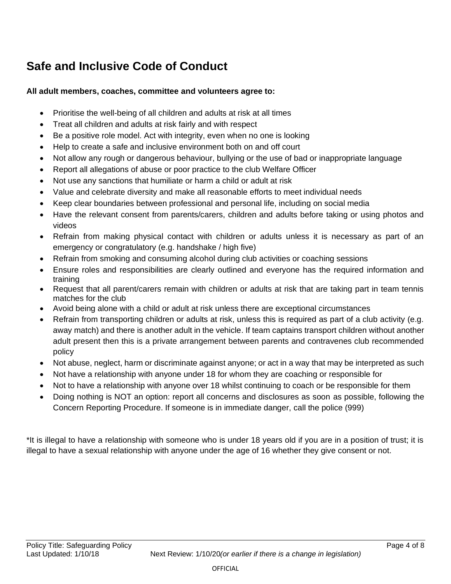## **Safe and Inclusive Code of Conduct**

### **All adult members, coaches, committee and volunteers agree to:**

- Prioritise the well-being of all children and adults at risk at all times
- Treat all children and adults at risk fairly and with respect
- Be a positive role model. Act with integrity, even when no one is looking
- Help to create a safe and inclusive environment both on and off court
- Not allow any rough or dangerous behaviour, bullying or the use of bad or inappropriate language
- Report all allegations of abuse or poor practice to the club Welfare Officer
- Not use any sanctions that humiliate or harm a child or adult at risk
- Value and celebrate diversity and make all reasonable efforts to meet individual needs
- Keep clear boundaries between professional and personal life, including on social media
- Have the relevant consent from parents/carers, children and adults before taking or using photos and videos
- Refrain from making physical contact with children or adults unless it is necessary as part of an emergency or congratulatory (e.g. handshake / high five)
- Refrain from smoking and consuming alcohol during club activities or coaching sessions
- Ensure roles and responsibilities are clearly outlined and everyone has the required information and training
- Request that all parent/carers remain with children or adults at risk that are taking part in team tennis matches for the club
- Avoid being alone with a child or adult at risk unless there are exceptional circumstances
- Refrain from transporting children or adults at risk, unless this is required as part of a club activity (e.g. away match) and there is another adult in the vehicle. If team captains transport children without another adult present then this is a private arrangement between parents and contravenes club recommended policy
- Not abuse, neglect, harm or discriminate against anyone; or act in a way that may be interpreted as such
- Not have a relationship with anyone under 18 for whom they are coaching or responsible for
- Not to have a relationship with anyone over 18 whilst continuing to coach or be responsible for them
- Doing nothing is NOT an option: report all concerns and disclosures as soon as possible, following the Concern Reporting Procedure. If someone is in immediate danger, call the police (999)

\*It is illegal to have a relationship with someone who is under 18 years old if you are in a position of trust; it is illegal to have a sexual relationship with anyone under the age of 16 whether they give consent or not.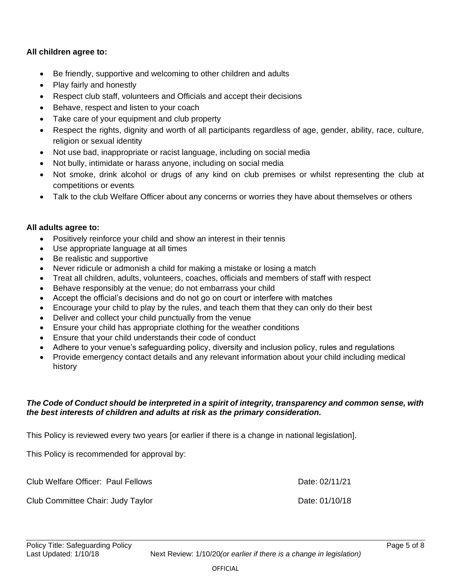### **All children agree to:**

- Be friendly, supportive and welcoming to other children and adults
- Play fairly and honestly
- Respect club staff, volunteers and Officials and accept their decisions
- Behave, respect and listen to your coach
- Take care of your equipment and club property
- Respect the rights, dignity and worth of all participants regardless of age, gender, ability, race, culture, religion or sexual identity
- Not use bad, inappropriate or racist language, including on social media
- Not bully, intimidate or harass anyone, including on social media
- Not smoke, drink alcohol or drugs of any kind on club premises or whilst representing the club at competitions or events
- Talk to the club Welfare Officer about any concerns or worries they have about themselves or others

### **All adults agree to:**

- Positively reinforce your child and show an interest in their tennis
- Use appropriate language at all times
- Be realistic and supportive
- Never ridicule or admonish a child for making a mistake or losing a match
- Treat all children, adults, volunteers, coaches, officials and members of staff with respect
- Behave responsibly at the venue; do not embarrass your child
- Accept the official's decisions and do not go on court or interfere with matches
- Encourage your child to play by the rules, and teach them that they can only do their best
- Deliver and collect your child punctually from the venue
- Ensure your child has appropriate clothing for the weather conditions
- Ensure that your child understands their code of conduct
- Adhere to your venue's safeguarding policy, diversity and inclusion policy, rules and regulations
- Provide emergency contact details and any relevant information about your child including medical history

### *The Code of Conduct should be interpreted in a spirit of integrity, transparency and common sense, with the best interests of children and adults at risk as the primary consideration.*

This Policy is reviewed every two years [or earlier if there is a change in national legislation].

This Policy is recommended for approval by:

Club Welfare Officer: Paul Fellows **Date: 02/11/21** 

Club Committee Chair: Judy Taylor **Date: 01/10/18**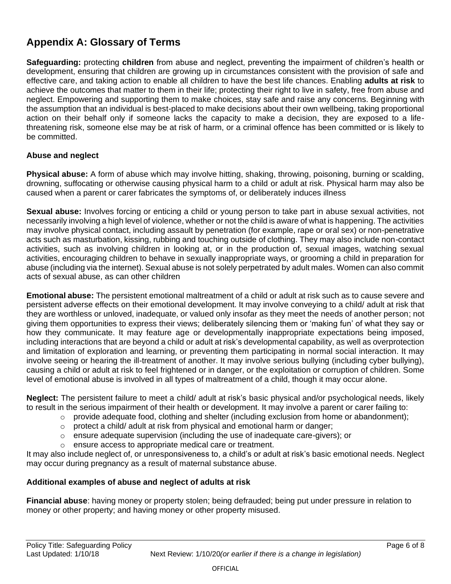## **Appendix A: Glossary of Terms**

**Safeguarding:** protecting **children** from abuse and neglect, preventing the impairment of children's health or development, ensuring that children are growing up in circumstances consistent with the provision of safe and effective care, and taking action to enable all children to have the best life chances. Enabling **adults at risk** to achieve the outcomes that matter to them in their life; protecting their right to live in safety, free from abuse and neglect. Empowering and supporting them to make choices, stay safe and raise any concerns. Beginning with the assumption that an individual is best-placed to make decisions about their own wellbeing, taking proportional action on their behalf only if someone lacks the capacity to make a decision, they are exposed to a lifethreatening risk, someone else may be at risk of harm, or a criminal offence has been committed or is likely to be committed.

### **Abuse and neglect**

**Physical abuse:** A form of abuse which may involve hitting, shaking, throwing, poisoning, burning or scalding, drowning, suffocating or otherwise causing physical harm to a child or adult at risk. Physical harm may also be caused when a parent or carer fabricates the symptoms of, or deliberately induces illness

**Sexual abuse:** Involves forcing or enticing a child or young person to take part in abuse sexual activities, not necessarily involving a high level of violence, whether or not the child is aware of what is happening. The activities may involve physical contact, including assault by penetration (for example, rape or oral sex) or non-penetrative acts such as masturbation, kissing, rubbing and touching outside of clothing. They may also include non-contact activities, such as involving children in looking at, or in the production of, sexual images, watching sexual activities, encouraging children to behave in sexually inappropriate ways, or grooming a child in preparation for abuse (including via the internet). Sexual abuse is not solely perpetrated by adult males. Women can also commit acts of sexual abuse, as can other children

**Emotional abuse:** The persistent emotional maltreatment of a child or adult at risk such as to cause severe and persistent adverse effects on their emotional development. It may involve conveying to a child/ adult at risk that they are worthless or unloved, inadequate, or valued only insofar as they meet the needs of another person; not giving them opportunities to express their views; deliberately silencing them or 'making fun' of what they say or how they communicate. It may feature age or developmentally inappropriate expectations being imposed, including interactions that are beyond a child or adult at risk's developmental capability, as well as overprotection and limitation of exploration and learning, or preventing them participating in normal social interaction. It may involve seeing or hearing the ill-treatment of another. It may involve serious bullying (including cyber bullying), causing a child or adult at risk to feel frightened or in danger, or the exploitation or corruption of children. Some level of emotional abuse is involved in all types of maltreatment of a child, though it may occur alone.

**Neglect:** The persistent failure to meet a child/ adult at risk's basic physical and/or psychological needs, likely to result in the serious impairment of their health or development. It may involve a parent or carer failing to:

- $\circ$  provide adequate food, clothing and shelter (including exclusion from home or abandonment);
- o protect a child/ adult at risk from physical and emotional harm or danger;
- $\circ$  ensure adequate supervision (including the use of inadequate care-givers); or
- o ensure access to appropriate medical care or treatment.

It may also include neglect of, or unresponsiveness to, a child's or adult at risk's basic emotional needs. Neglect may occur during pregnancy as a result of maternal substance abuse.

### **Additional examples of abuse and neglect of adults at risk**

**Financial abuse**: having money or property stolen; being defrauded; being put under pressure in relation to money or other property; and having money or other property misused.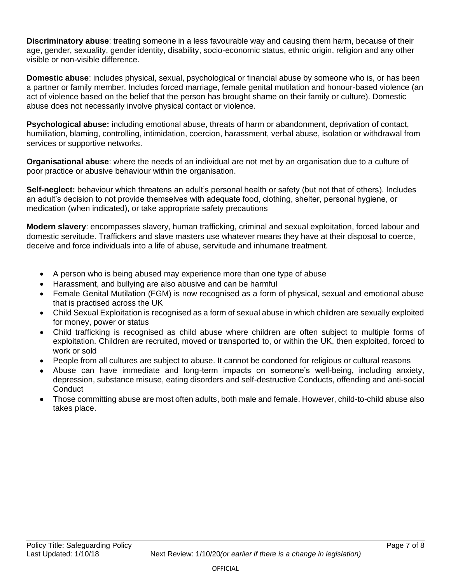**Discriminatory abuse**: treating someone in a less favourable way and causing them harm, because of their age, gender, sexuality, gender identity, disability, socio-economic status, ethnic origin, religion and any other visible or non-visible difference.

**Domestic abuse**: includes physical, sexual, psychological or financial abuse by someone who is, or has been a partner or family member. Includes forced marriage, female genital mutilation and honour-based violence (an act of violence based on the belief that the person has brought shame on their family or culture). Domestic abuse does not necessarily involve physical contact or violence.

**Psychological abuse:** including emotional abuse, threats of harm or abandonment, deprivation of contact, humiliation, blaming, controlling, intimidation, coercion, harassment, verbal abuse, isolation or withdrawal from services or supportive networks.

**Organisational abuse**: where the needs of an individual are not met by an organisation due to a culture of poor practice or abusive behaviour within the organisation.

**Self-neglect:** behaviour which threatens an adult's personal health or safety (but not that of others). Includes an adult's decision to not provide themselves with adequate food, clothing, shelter, personal hygiene, or medication (when indicated), or take appropriate safety precautions

**Modern slavery**: encompasses slavery, human trafficking, criminal and sexual exploitation, forced labour and domestic servitude. Traffickers and slave masters use whatever means they have at their disposal to coerce, deceive and force individuals into a life of abuse, servitude and inhumane treatment.

- A person who is being abused may experience more than one type of abuse
- Harassment, and bullying are also abusive and can be harmful
- Female Genital Mutilation (FGM) is now recognised as a form of physical, sexual and emotional abuse that is practised across the UK
- Child Sexual Exploitation is recognised as a form of sexual abuse in which children are sexually exploited for money, power or status
- Child trafficking is recognised as child abuse where children are often subject to multiple forms of exploitation. Children are recruited, moved or transported to, or within the UK, then exploited, forced to work or sold
- People from all cultures are subject to abuse. It cannot be condoned for religious or cultural reasons
- Abuse can have immediate and long-term impacts on someone's well-being, including anxiety, depression, substance misuse, eating disorders and self-destructive Conducts, offending and anti-social **Conduct**
- Those committing abuse are most often adults, both male and female. However, child-to-child abuse also takes place.